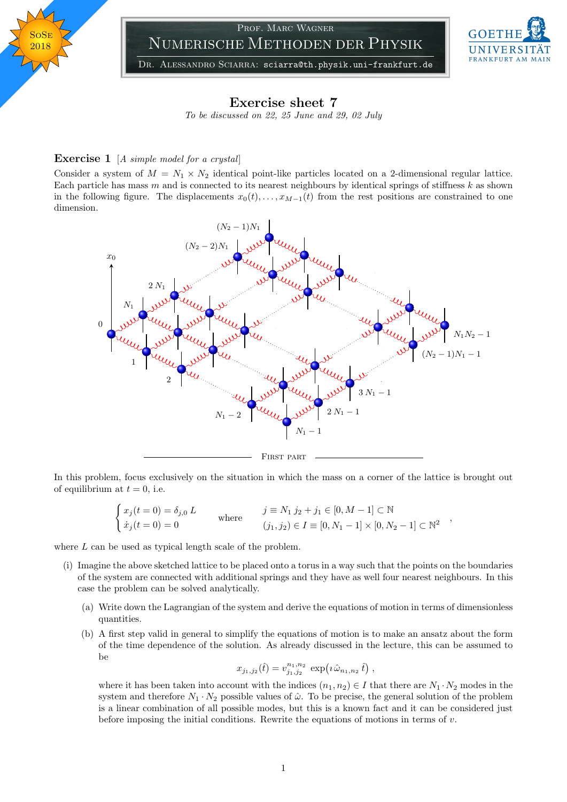

## Prof. Marc Wagner Numerische Methoden der Physik



DR. ALESSANDRO SCIARRA: sciarra@th.physik.uni-frankfurt.de

## Exercise sheet 7

To be discussed on 22, 25 June and 29, 02 July

## **Exercise 1** [A simple model for a crystal]

Consider a system of  $M = N_1 \times N_2$  identical point-like particles located on a 2-dimensional regular lattice. Each particle has mass  $m$  and is connected to its nearest neighbours by identical springs of stiffness  $k$  as shown in the following figure. The displacements  $x_0(t), \ldots, x_{M-1}(t)$  from the rest positions are constrained to one dimension.



In this problem, focus exclusively on the situation in which the mass on a corner of the lattice is brought out of equilibrium at  $t = 0$ , i.e.

$$
\begin{cases}\n x_j(t=0) = \delta_{j,0} L & j \equiv N_1 \ j_2 + j_1 \in [0, M-1] \subset \mathbb{N} \\
\dot{x}_j(t=0) = 0 & (j_1, j_2) \in I \equiv [0, N_1 - 1] \times [0, N_2 - 1] \subset \mathbb{N}^2\n\end{cases}
$$

where L can be used as typical length scale of the problem.

- (i) Imagine the above sketched lattice to be placed onto a torus in a way such that the points on the boundaries of the system are connected with additional springs and they have as well four nearest neighbours. In this case the problem can be solved analytically.
	- (a) Write down the Lagrangian of the system and derive the equations of motion in terms of dimensionless quantities.
	- (b) A first step valid in general to simplify the equations of motion is to make an ansatz about the form of the time dependence of the solution. As already discussed in the lecture, this can be assumed to be

$$
x_{j_1,j_2}(\hat{t}) = v_{j_1,j_2}^{n_1,n_2} \, \exp\!\left(i\,\hat{\omega}_{n_1,n_2}\,\hat{t}\right),
$$

where it has been taken into account with the indices  $(n_1, n_2) \in I$  that there are  $N_1 \cdot N_2$  modes in the system and therefore  $N_1 \cdot N_2$  possible values of  $\hat{\omega}$ . To be precise, the general solution of the problem is a linear combination of all possible modes, but this is a known fact and it can be considered just before imposing the initial conditions. Rewrite the equations of motions in terms of  $v$ .